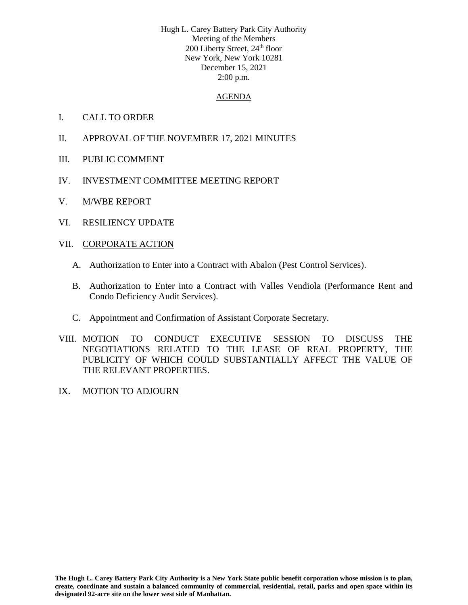Hugh L. Carey Battery Park City Authority Meeting of the Members 200 Liberty Street, 24<sup>th</sup> floor New York, New York 10281 December 15, 2021 2:00 p.m.

#### AGENDA

- I. CALL TO ORDER
- II. APPROVAL OF THE NOVEMBER 17, 2021 MINUTES
- III. PUBLIC COMMENT
- IV. INVESTMENT COMMITTEE MEETING REPORT
- V. M/WBE REPORT
- VI. RESILIENCY UPDATE

### VII. CORPORATE ACTION

- A. Authorization to Enter into a Contract with Abalon (Pest Control Services).
- B. Authorization to Enter into a Contract with Valles Vendiola (Performance Rent and Condo Deficiency Audit Services).
- C. Appointment and Confirmation of Assistant Corporate Secretary.
- VIII. MOTION TO CONDUCT EXECUTIVE SESSION TO DISCUSS THE NEGOTIATIONS RELATED TO THE LEASE OF REAL PROPERTY, THE PUBLICITY OF WHICH COULD SUBSTANTIALLY AFFECT THE VALUE OF THE RELEVANT PROPERTIES.
- IX. MOTION TO ADJOURN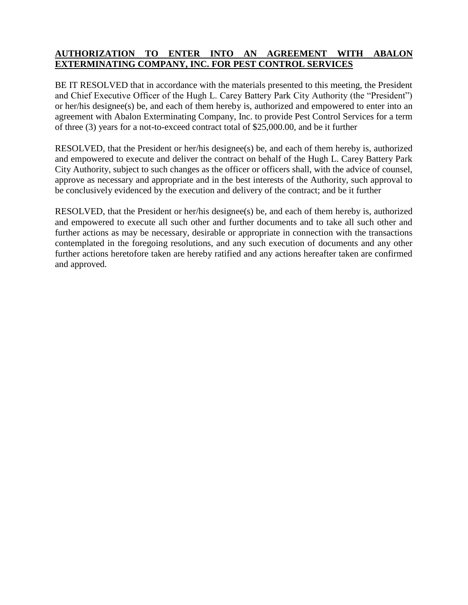## **AUTHORIZATION TO ENTER INTO AN AGREEMENT WITH ABALON EXTERMINATING COMPANY, INC. FOR PEST CONTROL SERVICES**

BE IT RESOLVED that in accordance with the materials presented to this meeting, the President and Chief Executive Officer of the Hugh L. Carey Battery Park City Authority (the "President") or her/his designee(s) be, and each of them hereby is, authorized and empowered to enter into an agreement with Abalon Exterminating Company, Inc. to provide Pest Control Services for a term of three (3) years for a not-to-exceed contract total of \$25,000.00, and be it further

RESOLVED, that the President or her/his designee(s) be, and each of them hereby is, authorized and empowered to execute and deliver the contract on behalf of the Hugh L. Carey Battery Park City Authority, subject to such changes as the officer or officers shall, with the advice of counsel, approve as necessary and appropriate and in the best interests of the Authority, such approval to be conclusively evidenced by the execution and delivery of the contract; and be it further

RESOLVED, that the President or her/his designee(s) be, and each of them hereby is, authorized and empowered to execute all such other and further documents and to take all such other and further actions as may be necessary, desirable or appropriate in connection with the transactions contemplated in the foregoing resolutions, and any such execution of documents and any other further actions heretofore taken are hereby ratified and any actions hereafter taken are confirmed and approved.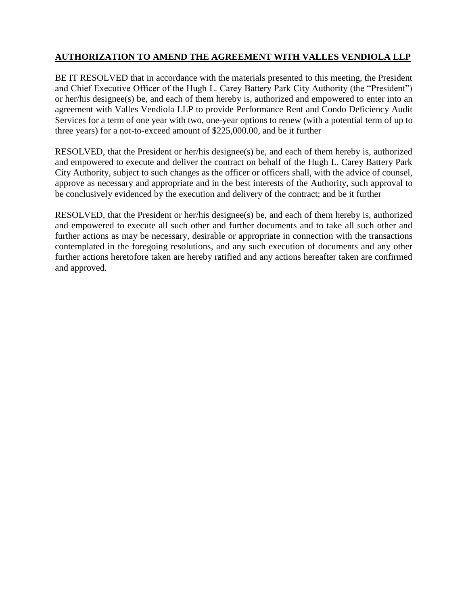# **AUTHORIZATION TO AMEND THE AGREEMENT WITH VALLES VENDIOLA LLP**

BE IT RESOLVED that in accordance with the materials presented to this meeting, the President and Chief Executive Officer of the Hugh L. Carey Battery Park City Authority (the "President") or her/his designee(s) be, and each of them hereby is, authorized and empowered to enter into an agreement with Valles Vendiola LLP to provide Performance Rent and Condo Deficiency Audit Services for a term of one year with two, one-year options to renew (with a potential term of up to three years) for a not-to-exceed amount of \$225,000.00, and be it further

RESOLVED, that the President or her/his designee(s) be, and each of them hereby is, authorized and empowered to execute and deliver the contract on behalf of the Hugh L. Carey Battery Park City Authority, subject to such changes as the officer or officers shall, with the advice of counsel, approve as necessary and appropriate and in the best interests of the Authority, such approval to be conclusively evidenced by the execution and delivery of the contract; and be it further

RESOLVED, that the President or her/his designee(s) be, and each of them hereby is, authorized and empowered to execute all such other and further documents and to take all such other and further actions as may be necessary, desirable or appropriate in connection with the transactions contemplated in the foregoing resolutions, and any such execution of documents and any other further actions heretofore taken are hereby ratified and any actions hereafter taken are confirmed and approved.